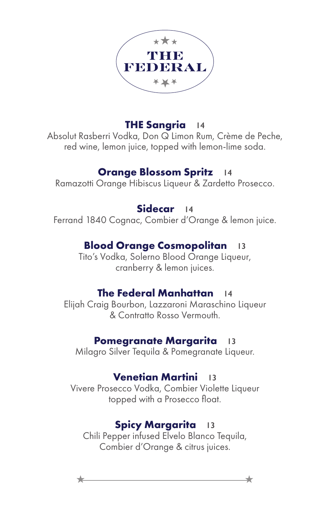

## **THE Sangria 14**

Absolut Rasberri Vodka, Don Q Limon Rum, Crème de Peche, red wine, lemon juice, topped with lemon-lime soda.

### **Orange Blossom Spritz 14**

Ramazotti Orange Hibiscus Liqueur & Zardetto Prosecco.

## **Sidecar 14**

Ferrand 1840 Cognac, Combier d'Orange & lemon juice.

# **Blood Orange Cosmopolitan 13**

Tito's Vodka, Solerno Blood Orange Liqueur, cranberry & lemon juices.

## **The Federal Manhattan 14**

Elijah Craig Bourbon, Lazzaroni Maraschino Liqueur & Contratto Rosso Vermouth.

### **Pomegranate Margarita 13**

Milagro Silver Tequila & Pomegranate Liqueur.

## **Venetian Martini 13**

Vivere Prosecco Vodka, Combier Violette Liqueur topped with a Prosecco float.

# **Spicy Margarita 13**

Chili Pepper infused Elvelo Blanco Tequila, Combier d'Orange & citrus juices.

 $\star$   $\overbrace{\phantom{aaaaa}}$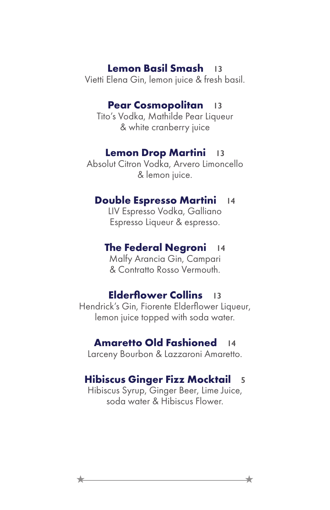#### **Lemon Basil Smash 13**

Vietti Elena Gin, lemon juice & fresh basil.

#### **Pear Cosmopolitan 13**

Tito's Vodka, Mathilde Pear Liqueur & white cranberry juice

#### **Lemon Drop Martini 13**

Absolut Citron Vodka, Arvero Limoncello & lemon juice.

#### **Double Espresso Martini 14**

LIV Espresso Vodka, Galliano Espresso Liqueur & espresso.

#### **The Federal Negroni 14**

Malfy Arancia Gin, Campari & Contratto Rosso Vermouth.

#### **Elderflower Collins 13**

Hendrick's Gin, Fiorente Elderflower Liqueur, lemon juice topped with soda water.

#### **Amaretto Old Fashioned 14**

Larceny Bourbon & Lazzaroni Amaretto.

#### **Hibiscus Ginger Fizz Mocktail 5**

Hibiscus Syrup, Ginger Beer, Lime Juice, soda water & Hibiscus Flower.

 $\star$   $\overbrace{\phantom{aaaaa}}$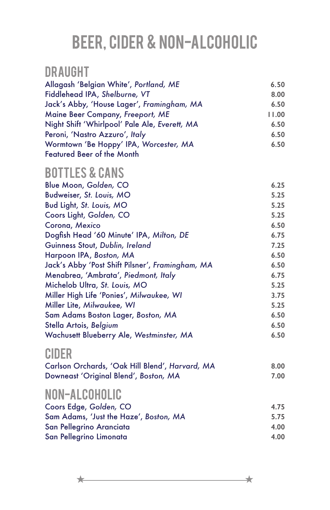# Beer, Cider & Non-alcoholic

# DRAUGHT

| Allagash 'Belgian White', Portland, ME        | 6.50  |
|-----------------------------------------------|-------|
| Fiddlehead IPA, Shelburne, VT                 | 8.00  |
| Jack's Abby, 'House Lager', Framingham, MA    | 6.50  |
| Maine Beer Company, Freeport, ME              | 11.00 |
| Night Shift 'Whirlpool' Pale Ale, Everett, MA | 6.50  |
| Peroni, 'Nastro Azzuro', Italy                | 6.50  |
| Wormtown 'Be Hoppy' IPA, Worcester, MA        | 6.50  |
| <b>Featured Beer of the Month</b>             |       |

# BOTTLES & CANS

| Blue Moon, Golden, CO                            | 6.25 |
|--------------------------------------------------|------|
| Budweiser, St. Louis, MO                         | 5.25 |
| Bud Light, St. Louis, MO                         | 5.25 |
| Coors Light, Golden, CO                          | 5.25 |
| Corona, Mexico                                   | 6.50 |
| Dogfish Head '60 Minute' IPA, Milton, DE         | 6.75 |
| Guinness Stout, Dublin, Ireland                  | 7.25 |
| Harpoon IPA, Boston, MA                          | 6.50 |
| Jack's Abby 'Post Shift Pilsner', Framingham, MA | 6.50 |
| Menabrea, 'Ambrata', Piedmont, Italy             | 6.75 |
| Michelob Ultra, St. Louis, MO                    | 5.25 |
| Miller High Life 'Ponies', Milwaukee, WI         | 3.75 |
| Miller Lite, Milwaukee, WI                       | 5.25 |
| Sam Adams Boston Lager, Boston, MA               | 6.50 |
| Stella Artois, Belgium                           | 6.50 |
| Wachusett Blueberry Ale, Westminster, MA         | 6.50 |
|                                                  |      |

# CIDER

| Carlson Orchards, 'Oak Hill Blend', Harvard, MA | 8.00 |
|-------------------------------------------------|------|
| Downeast 'Original Blend', Boston, MA           | 7.00 |

# NON-ALCOHOLIC

| Coors Edge, Golden, CO                 | 4.75 |
|----------------------------------------|------|
| Sam Adams, 'Just the Haze', Boston, MA | 5.75 |
| San Pellegrino Aranciata               | 4.00 |
| San Pellegrino Limonata                | 4.00 |
|                                        |      |

 $\star$   $\overbrace{\phantom{aaaaa}}$